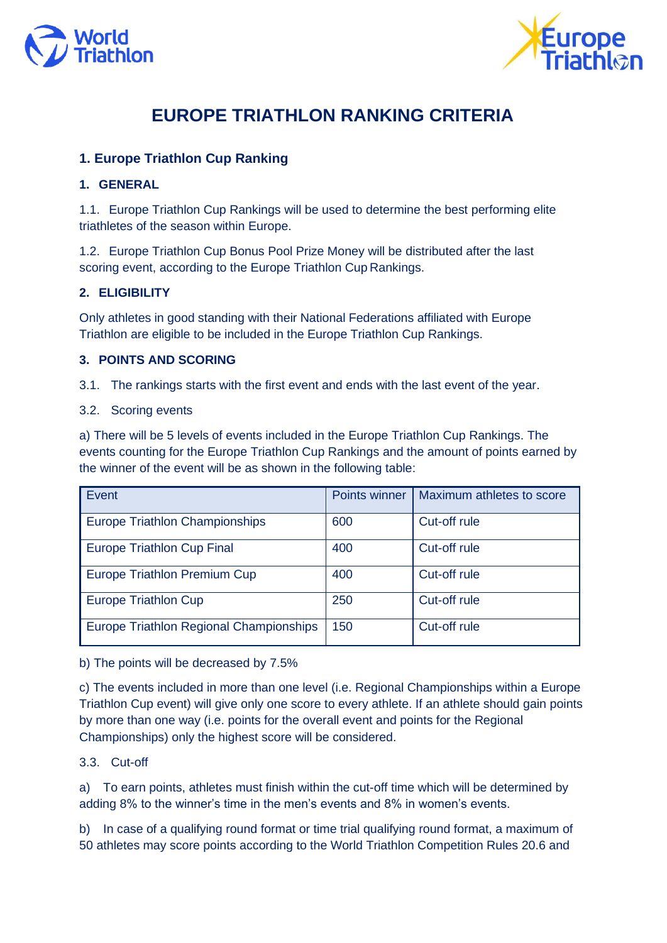



# **EUROPE TRIATHLON RANKING CRITERIA**

# **1. Europe Triathlon Cup Ranking**

# **1. GENERAL**

1.1. Europe Triathlon Cup Rankings will be used to determine the best performing elite triathletes of the season within Europe.

1.2. Europe Triathlon Cup Bonus Pool Prize Money will be distributed after the last scoring event, according to the Europe Triathlon Cup Rankings.

# **2. ELIGIBILITY**

Only athletes in good standing with their National Federations affiliated with Europe Triathlon are eligible to be included in the Europe Triathlon Cup Rankings.

### **3. POINTS AND SCORING**

3.1. The rankings starts with the first event and ends with the last event of the year.

#### 3.2. Scoring events

a) There will be 5 levels of events included in the Europe Triathlon Cup Rankings. The events counting for the Europe Triathlon Cup Rankings and the amount of points earned by the winner of the event will be as shown in the following table:

| Event                                   | Points winner | Maximum athletes to score |
|-----------------------------------------|---------------|---------------------------|
| <b>Europe Triathlon Championships</b>   | 600           | Cut-off rule              |
| <b>Europe Triathlon Cup Final</b>       | 400           | Cut-off rule              |
| Europe Triathlon Premium Cup            | 400           | Cut-off rule              |
| <b>Europe Triathlon Cup</b>             | 250           | Cut-off rule              |
| Europe Triathlon Regional Championships | 150           | Cut-off rule              |

b) The points will be decreased by 7.5%

c) The events included in more than one level (i.e. Regional Championships within a Europe Triathlon Cup event) will give only one score to every athlete. If an athlete should gain points by more than one way (i.e. points for the overall event and points for the Regional Championships) only the highest score will be considered.

### 3.3. Cut-off

a) To earn points, athletes must finish within the cut-off time which will be determined by adding 8% to the winner's time in the men's events and 8% in women's events.

b) In case of a qualifying round format or time trial qualifying round format, a maximum of 50 athletes may score points according to the World Triathlon Competition Rules 20.6 and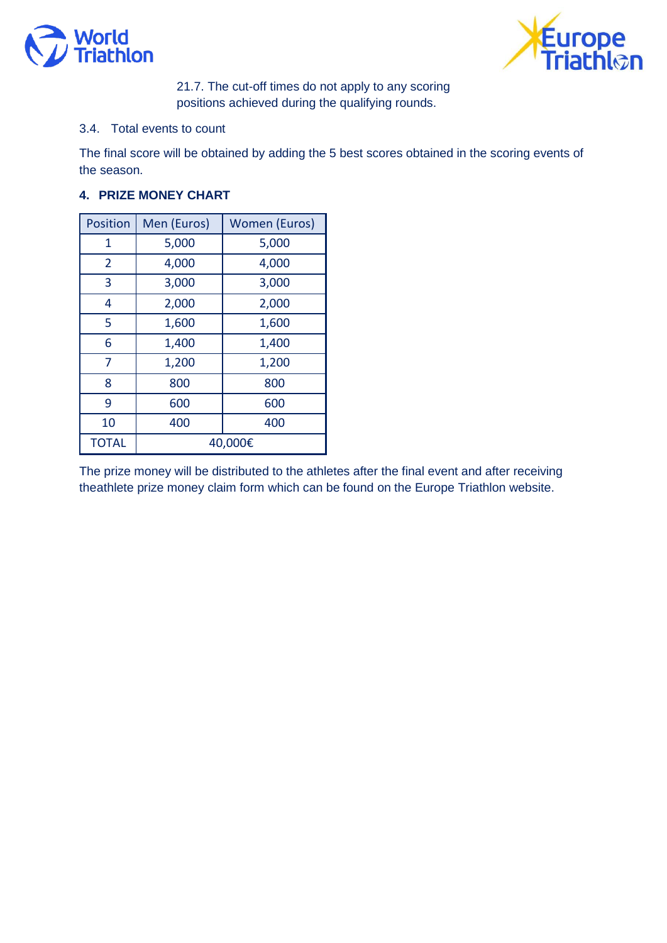



21.7. The cut-off times do not apply to any scoring positions achieved during the qualifying rounds.

### 3.4. Total events to count

The final score will be obtained by adding the 5 best scores obtained in the scoring events of the season.

# **4. PRIZE MONEY CHART**

| <b>Position</b> | Men (Euros) | <b>Women (Euros)</b> |
|-----------------|-------------|----------------------|
| 1               | 5,000       | 5,000                |
| $\overline{2}$  | 4,000       | 4,000                |
| 3               | 3,000       | 3,000                |
| 4               | 2,000       | 2,000                |
| 5               | 1,600       | 1,600                |
| 6               | 1,400       | 1,400                |
| 7               | 1,200       | 1,200                |
| 8               | 800         | 800                  |
| 9               | 600         | 600                  |
| 10              | 400         | 400                  |
| <b>TOTAL</b>    | 40,000€     |                      |

The prize money will be distributed to the athletes after the final event and after receiving the athlete prize money claim form which can be found on the Europe Triathlon website.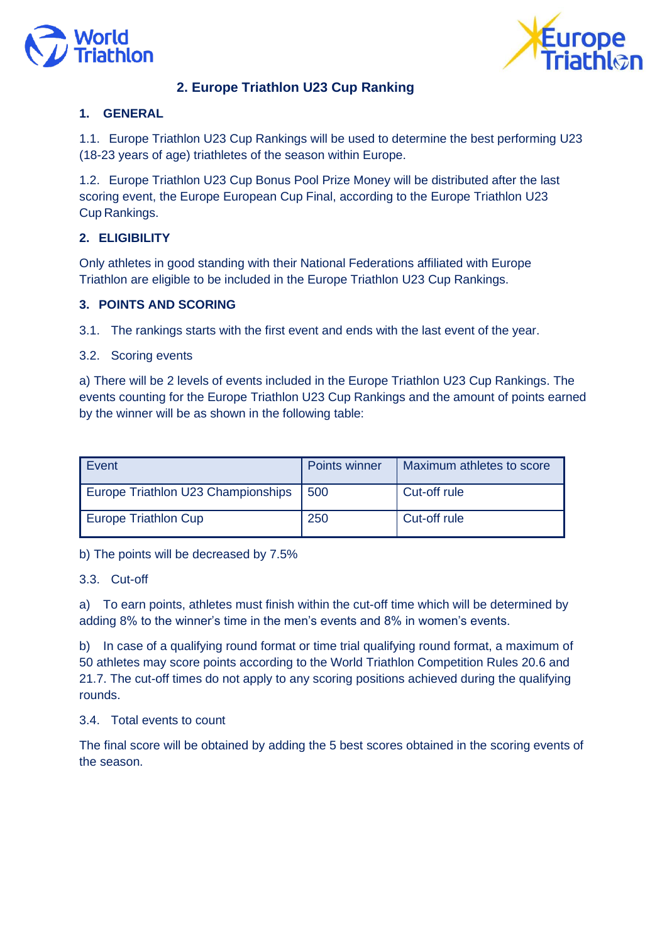



# **2. Europe Triathlon U23 Cup Ranking**

# **1. GENERAL**

1.1. Europe Triathlon U23 Cup Rankings will be used to determine the best performing U23 (18-23 years of age) triathletes of the season within Europe.

1.2. Europe Triathlon U23 Cup Bonus Pool Prize Money will be distributed after the last scoring event, the Europe European Cup Final, according to the Europe Triathlon U23 Cup Rankings.

# **2. ELIGIBILITY**

Only athletes in good standing with their National Federations affiliated with Europe Triathlon are eligible to be included in the Europe Triathlon U23 Cup Rankings.

# **3. POINTS AND SCORING**

3.1. The rankings starts with the first event and ends with the last event of the year.

#### 3.2. Scoring events

a) There will be 2 levels of events included in the Europe Triathlon U23 Cup Rankings. The events counting for the Europe Triathlon U23 Cup Rankings and the amount of points earned by the winner will be as shown in the following table:

| Event                              | Points winner | Maximum athletes to score |
|------------------------------------|---------------|---------------------------|
| Europe Triathlon U23 Championships | 500           | Cut-off rule              |
| Europe Triathlon Cup               | 250           | Cut-off rule              |

b) The points will be decreased by 7.5%

#### 3.3. Cut-off

a) To earn points, athletes must finish within the cut-off time which will be determined by adding 8% to the winner's time in the men's events and 8% in women's events.

b) In case of a qualifying round format or time trial qualifying round format, a maximum of 50 athletes may score points according to the World Triathlon Competition Rules 20.6 and 21.7. The cut-off times do not apply to any scoring positions achieved during the qualifying rounds.

### 3.4. Total events to count

The final score will be obtained by adding the 5 best scores obtained in the scoring events of the season.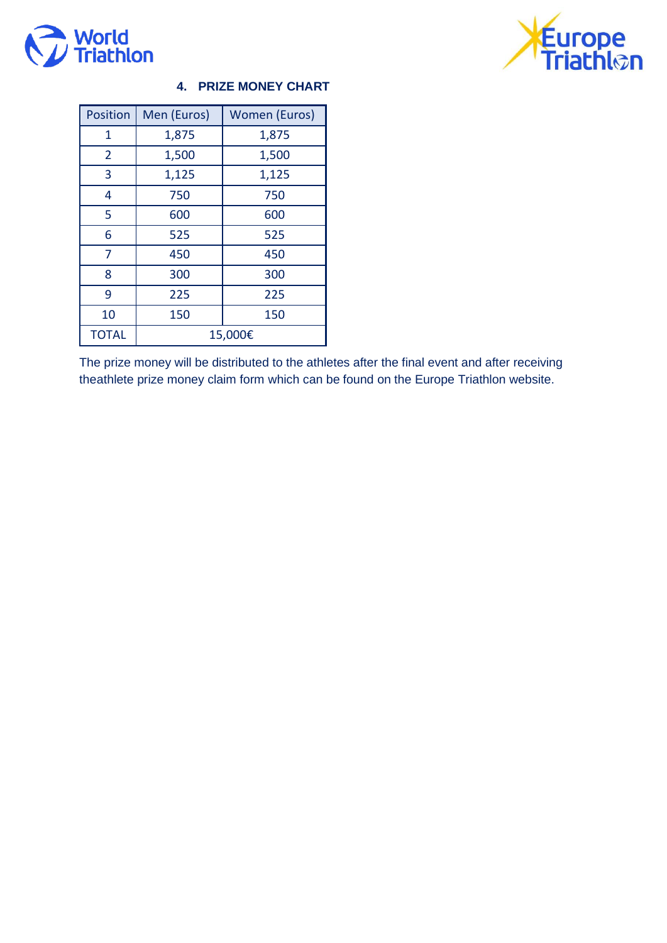



# **4. PRIZE MONEY CHART**

| <b>Position</b> | Men (Euros) | <b>Women (Euros)</b> |
|-----------------|-------------|----------------------|
| 1               | 1,875       | 1,875                |
| $\overline{2}$  | 1,500       | 1,500                |
| 3               | 1,125       | 1,125                |
| 4               | 750         | 750                  |
| 5               | 600         | 600                  |
| 6               | 525         | 525                  |
| 7               | 450         | 450                  |
| 8               | 300         | 300                  |
| 9               | 225         | 225                  |
| 10              | 150         | 150                  |
| <b>TOTAL</b>    | 15,000€     |                      |

The prize money will be distributed to the athletes after the final event and after receiving the athlete prize money claim form which can be found on the Europe Triathlon website.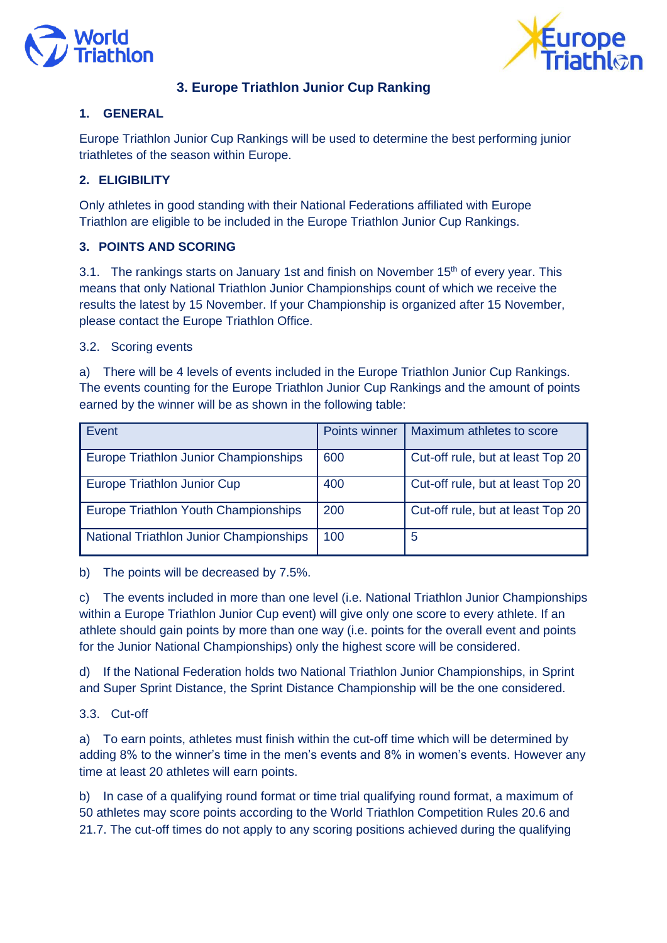



# **3. Europe Triathlon Junior Cup Ranking**

# **1. GENERAL**

Europe Triathlon Junior Cup Rankings will be used to determine the best performing junior triathletes of the season within Europe.

# **2. ELIGIBILITY**

Only athletes in good standing with their National Federations affiliated with Europe Triathlon are eligible to be included in the Europe Triathlon Junior Cup Rankings.

# **3. POINTS AND SCORING**

3.1. The rankings starts on January 1st and finish on November  $15<sup>th</sup>$  of every year. This means that only National Triathlon Junior Championships count of which we receive the results the latest by 15 November. If your Championship is organized after 15 November, please contact the Europe Triathlon Office.

### 3.2. Scoring events

a) There will be 4 levels of events included in the Europe Triathlon Junior Cup Rankings. The events counting for the Europe Triathlon Junior Cup Rankings and the amount of points earned by the winner will be as shown in the following table:

| Event                                          | <b>Points winner</b> | Maximum athletes to score         |
|------------------------------------------------|----------------------|-----------------------------------|
| Europe Triathlon Junior Championships          | 600                  | Cut-off rule, but at least Top 20 |
| Europe Triathlon Junior Cup                    | 400                  | Cut-off rule, but at least Top 20 |
| Europe Triathlon Youth Championships           | 200                  | Cut-off rule, but at least Top 20 |
| <b>National Triathlon Junior Championships</b> | 100                  | 5                                 |

b) The points will be decreased by 7.5%.

c) The events included in more than one level (i.e. National Triathlon Junior Championships within a Europe Triathlon Junior Cup event) will give only one score to every athlete. If an athlete should gain points by more than one way (i.e. points for the overall event and points for the Junior National Championships) only the highest score will be considered.

d) If the National Federation holds two National Triathlon Junior Championships, in Sprint and Super Sprint Distance, the Sprint Distance Championship will be the one considered.

### 3.3. Cut-off

a) To earn points, athletes must finish within the cut-off time which will be determined by adding 8% to the winner's time in the men's events and 8% in women's events. However any time at least 20 athletes will earn points.

b) In case of a qualifying round format or time trial qualifying round format, a maximum of 50 athletes may score points according to the World Triathlon Competition Rules 20.6 and 21.7. The cut-off times do not apply to any scoring positions achieved during the qualifying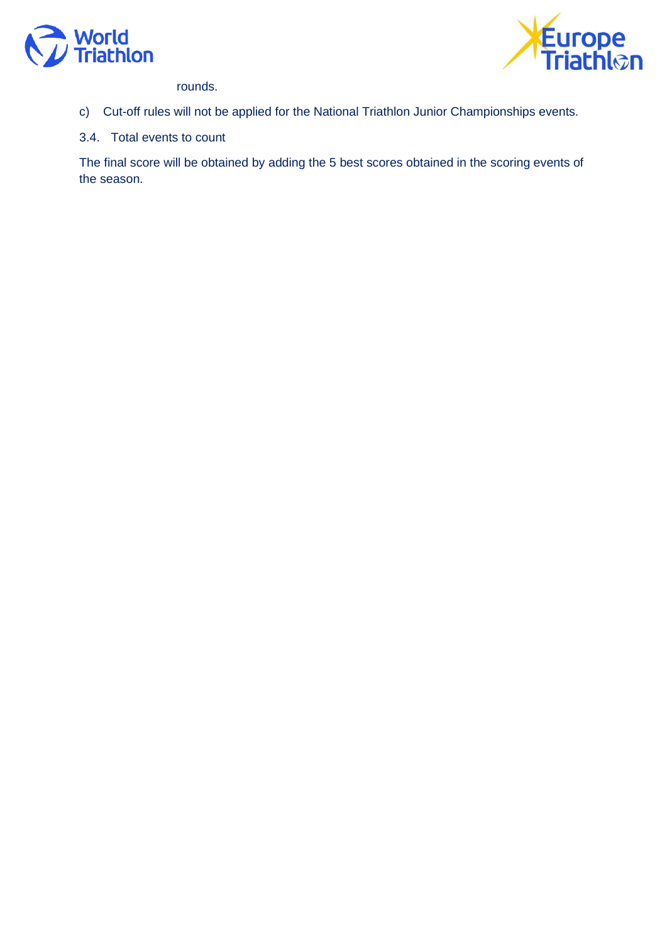



rounds.

c) Cut-off rules will not be applied for the National Triathlon Junior Championships events.

3.4. Total events to count

The final score will be obtained by adding the 5 best scores obtained in the scoring events of the season.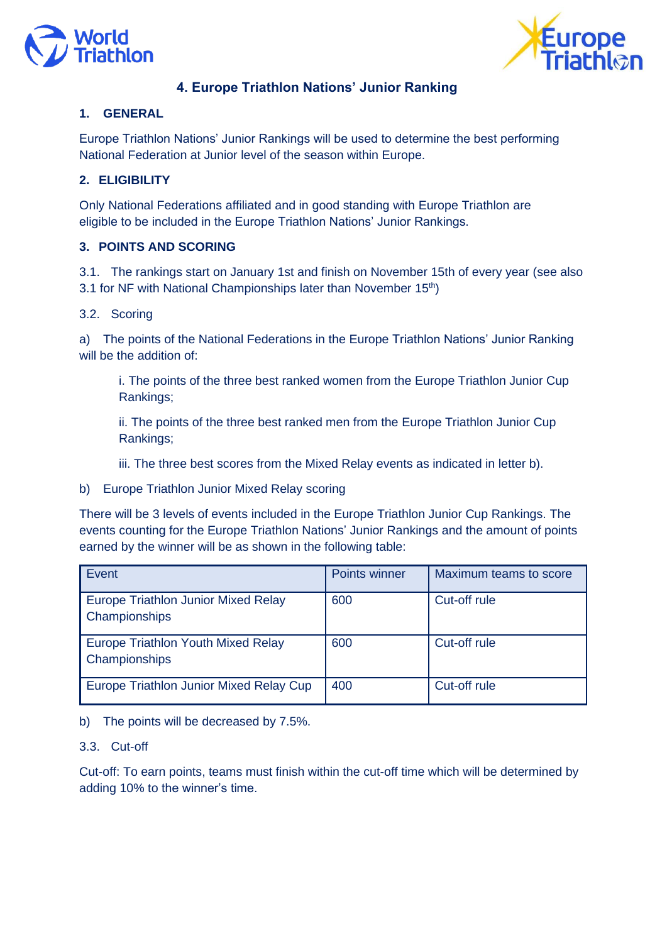



# **4. Europe Triathlon Nations' Junior Ranking**

### **1. GENERAL**

Europe Triathlon Nations' Junior Rankings will be used to determine the best performing National Federation at Junior level of the season within Europe.

# **2. ELIGIBILITY**

Only National Federations affiliated and in good standing with Europe Triathlon are eligible to be included in the Europe Triathlon Nations' Junior Rankings.

# **3. POINTS AND SCORING**

3.1. The rankings start on January 1st and finish on November 15th of every year (see also 3.1 for NF with National Championships later than November 15<sup>th</sup>)

### 3.2. Scoring

a) The points of the National Federations in the Europe Triathlon Nations' Junior Ranking will be the addition of:

i. The points of the three best ranked women from the Europe Triathlon Junior Cup Rankings;

ii. The points of the three best ranked men from the Europe Triathlon Junior Cup Rankings;

iii. The three best scores from the Mixed Relay events as indicated in letter b).

b) Europe Triathlon Junior Mixed Relay scoring

There will be 3 levels of events included in the Europe Triathlon Junior Cup Rankings. The events counting for the Europe Triathlon Nations' Junior Rankings and the amount of points earned by the winner will be as shown in the following table:

| Event                                                       | <b>Points winner</b> | Maximum teams to score |
|-------------------------------------------------------------|----------------------|------------------------|
| <b>Europe Triathlon Junior Mixed Relay</b><br>Championships | 600                  | Cut-off rule           |
| Europe Triathlon Youth Mixed Relay<br>Championships         | 600                  | Cut-off rule           |
| Europe Triathlon Junior Mixed Relay Cup                     | 400                  | Cut-off rule           |

b) The points will be decreased by 7.5%.

#### 3.3. Cut-off

Cut-off: To earn points, teams must finish within the cut-off time which will be determined by adding 10% to the winner's time.